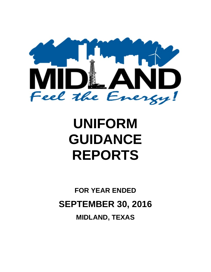

# **UNIFORM GUIDANCE REPORTS**

**FOR YEAR ENDED SEPTEMBER 30, 2016 MIDLAND, TEXAS**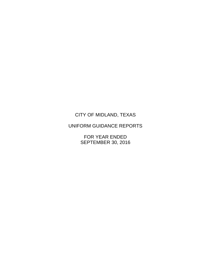# CITY OF MIDLAND, TEXAS

# UNIFORM GUIDANCE REPORTS

FOR YEAR ENDED SEPTEMBER 30, 2016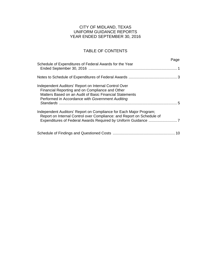# CITY OF MIDLAND, TEXAS UNIFORM GUIDANCE REPORTS YEAR ENDED SEPTEMBER 30, 2016

# TABLE OF CONTENTS

|                                                                                                                                                                                                                         | Page |
|-------------------------------------------------------------------------------------------------------------------------------------------------------------------------------------------------------------------------|------|
| Schedule of Expenditures of Federal Awards for the Year                                                                                                                                                                 |      |
|                                                                                                                                                                                                                         |      |
| Independent Auditors' Report on Internal Control Over<br>Financial Reporting and on Compliance and Other<br>Matters Based on an Audit of Basic Financial Statements<br>Performed in Accordance with Government Auditing | 5    |
| Independent Auditors' Report on Compliance for Each Major Program;<br>Report on Internal Control over Compliance: and Report on Schedule of                                                                             |      |
|                                                                                                                                                                                                                         |      |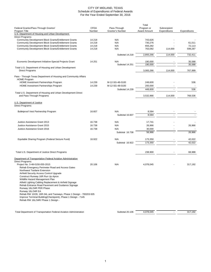#### CITY OF MIDLAND, TEXAS Schedule of Expenditures of Federal Awards For the Year Ended September 30, 2016

| Federal Grantor/Pass-Through Grantor/<br>Program Title                                                                                                                  | <b>CFDA</b><br>Number | Pass-Through<br><b>Grantor's Number</b> | Total<br>Program or<br><b>Award Amount</b> | Subrecipient<br>Expenditures | Expenditures |
|-------------------------------------------------------------------------------------------------------------------------------------------------------------------------|-----------------------|-----------------------------------------|--------------------------------------------|------------------------------|--------------|
| U.S. Department of Housing and Urban Development                                                                                                                        |                       |                                         |                                            |                              |              |
| Direct Programs:                                                                                                                                                        |                       |                                         |                                            |                              |              |
| <b>Community Development Block Grants/Entitlement Grants</b>                                                                                                            | 14.218                | N/A                                     | 743,626                                    |                              |              |
| <b>Community Development Block Grants/Entitlement Grants</b>                                                                                                            | 14.218                | N/A                                     | 730,276                                    |                              | 61,011       |
| Community Development Block Grants/Entitlement Grants                                                                                                                   | 14.218                | N/A                                     | 656,282                                    |                              | 72,113       |
| <b>Community Development Block Grants/Entitlement Grants</b>                                                                                                            | 14.218                | N/A                                     | 763,082                                    | 114,000                      | 599,287      |
|                                                                                                                                                                         |                       | Subtotal 14.218                         | 2,893,266                                  | 114,000                      | 732,411      |
| Economic Development Initiative-Special Projects Grant                                                                                                                  | 14.251                | N/A                                     | 190,000                                    |                              | 35,588       |
| Total U.S. Department of Housing and Urban Development                                                                                                                  |                       | Subtotal 14.251                         | 190,000                                    |                              | 35,588       |
| <b>Direct Programs</b>                                                                                                                                                  |                       |                                         | 3,083,266                                  | 114,000                      | 767,999      |
| Pass - Through Texas Department of Housing and Community Affairs<br><b>HOME Program</b>                                                                                 |                       |                                         |                                            |                              |              |
| HOME Investment Partnerships Program                                                                                                                                    | 14.239                | M-12-SG-48-0100                         | 249,600                                    |                              | 536          |
| HOME Investment Partnerships Program                                                                                                                                    | 14.239                | M-12-SG-48-0100                         | 200,000                                    |                              |              |
|                                                                                                                                                                         |                       | Subtotal 14.239                         | 449,600                                    |                              | 536          |
| Total U.S. Department of Housing and Urban Development Direct<br>and Pass-Through Programs                                                                              |                       |                                         | 3,532,866                                  | 114,000                      | 768,536      |
| U.S. Department of Justice<br>Direct Programs:                                                                                                                          |                       |                                         |                                            |                              |              |
| Bulletproof Vest Partnership Program                                                                                                                                    | 16.607                | N/A                                     | 8,584                                      |                              |              |
|                                                                                                                                                                         |                       | Subtotal 16.607                         | 8,584                                      |                              |              |
| Justice Assistance Grant 2013                                                                                                                                           | 16.738                | N/A                                     | 17,741                                     |                              |              |
| Justice Assistance Grant 2015                                                                                                                                           | 16.738                | N/A                                     | 26,966                                     |                              | 26,966       |
| Justice Assistance Grant 2016                                                                                                                                           | 16.738                | N/A                                     | 30,000                                     |                              |              |
|                                                                                                                                                                         |                       | Subtotal 16.738                         | 56,966                                     |                              | 26,966       |
|                                                                                                                                                                         | 16.922                | N/A                                     |                                            |                              |              |
| Equitable Sharing Program (Federal Seizure Fund)                                                                                                                        |                       |                                         | 173,350                                    |                              | 42,022       |
|                                                                                                                                                                         |                       | Subtotal 16.922                         | 173,350                                    |                              | 42,022       |
| Total U.S. Department of Justice Direct Programs                                                                                                                        |                       |                                         | 238,900                                    |                              | 68,988       |
| Department of Transportation Federal Aviation Administration                                                                                                            |                       |                                         |                                            |                              |              |
| Direct Programs:                                                                                                                                                        |                       |                                         |                                            |                              |              |
| Project No. 3-48-0150-055-2015                                                                                                                                          | 20.106                | N/A                                     | 4,078,045                                  |                              | 317,192      |
| Rehab Emergency Perimeter Road and Access Gates<br>Northwest Taxilane Extension                                                                                         |                       |                                         |                                            |                              |              |
| Airfield Security Access Control Upgrade                                                                                                                                |                       |                                         |                                            |                              |              |
| Construct Runway 16R Run Up Apron                                                                                                                                       |                       |                                         |                                            |                              |              |
| Wildlife Hazard Management Plan                                                                                                                                         |                       |                                         |                                            |                              |              |
| Aifield Lighting Cabling Replacement & Airfield Signage                                                                                                                 |                       |                                         |                                            |                              |              |
| Rehab Entrance Road Pavement and Guidance Signage                                                                                                                       |                       |                                         |                                            |                              |              |
| Runway 16L/34R PER Phase                                                                                                                                                |                       |                                         |                                            |                              |              |
| Runway 16L/34R EA                                                                                                                                                       |                       |                                         |                                            |                              |              |
| Rehab RW 10/28, 16R-34L and Taxiways, Phase 1 Design - 700203-505<br>Improve Terminal Building(Checkpoint), Phase 1 Design - 7145<br>Rehab RW 16L/34R/ Phase 1 Design - |                       |                                         |                                            |                              |              |
|                                                                                                                                                                         |                       |                                         |                                            |                              |              |
|                                                                                                                                                                         |                       |                                         |                                            |                              |              |

Total Department of Transportation Federal Aviation Administration Subtotal 20.106 4,078,045 - 317,192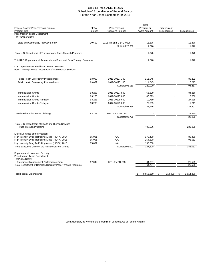#### CITY OF MIDLAND, TEXAS Schedule of Expenditures of Federal Awards For the Year Ended September 30, 2016

| Federal Grantor/Pass-Through Grantor/<br>Program Title                                                   | <b>CFDA</b><br>Number | Pass-Through<br>Grantor's Number | Total<br>Program or<br><b>Award Amount</b> | Subrecipient<br>Expenditures | Expenditures    |
|----------------------------------------------------------------------------------------------------------|-----------------------|----------------------------------|--------------------------------------------|------------------------------|-----------------|
| Pass-through Texas Department<br>of Transportation:                                                      |                       |                                  |                                            |                              |                 |
| State and Community Highway Safety                                                                       | 20.600                | 2016-Midland-S-1YG-0026          | 11,876                                     |                              | 11,876          |
|                                                                                                          |                       | Subtotal 20.600                  | 11.876                                     |                              | 11.876          |
| Total U.S. Department of Transportation Pass-Through Programs                                            |                       |                                  | 11,876                                     |                              | 11,876          |
| Total U.S. Department of Transportation Direct and Pass-Through Programs                                 |                       |                                  | 11,876                                     |                              | 11,876          |
| U.S. Department of Health and Human Services<br>Pass - Through Texas Department of State Health Services |                       |                                  |                                            |                              |                 |
| Public Health Emergency Preparedness                                                                     | 93.069                | 2016-001271-00                   | 111,045                                    |                              | 89,202          |
| Public Health Emergency Preparedness                                                                     | 93.069                | 2017-001271-00                   | 111,045                                    |                              | 5,215           |
|                                                                                                          |                       | Subtotal 93.069                  | 222,090                                    |                              | 94,417          |
| <b>Immunization Grants</b>                                                                               | 93.268                | 2016-001273-00                   | 66,899                                     |                              | 84,866          |
| <b>Immunization Grants</b>                                                                               | 93.268                | 2017-001273-00                   | 66,899                                     |                              | 8,080           |
| Immunization Grants-Refugee                                                                              | 93.268                | 2016-001299-00                   | 19,789                                     |                              | 27,935          |
| Immunization Grants-Refugee                                                                              | 93.268                | 2017-001299-00                   | 27,559                                     |                              | 1,711           |
|                                                                                                          |                       | Subtotal 93.268                  | 181.146                                    |                              | 122.592         |
| Medicaid Administrative Claiming                                                                         | 93.778                | 529-13-0033-00001                |                                            |                              | 22,220          |
|                                                                                                          |                       | Subtotal 93.778                  |                                            |                              | 22,220          |
| Total U.S. Department of Health and Human Services                                                       |                       |                                  |                                            |                              |                 |
| Pass-Through Programs                                                                                    |                       |                                  | 403,236                                    |                              | 239,228         |
| Executive Office of the President                                                                        |                       |                                  |                                            |                              |                 |
| High Intensity Drug Trafficking Areas (HIDTA) 2014                                                       | 95.001                | N/A                              | 172,400                                    |                              | 89,479          |
| High Intensity Drug Trafficking Areas (HIDTA) 2015                                                       | 95.001                | N/A                              | 154,800                                    |                              | 93,552          |
| High Intensity Drug Trafficking Areas (HIDTA) 2016                                                       | 95.001                | N/A                              | 156,600                                    |                              |                 |
| Total Executive Office of the President Direct Grants                                                    |                       | Subtotal 95.001                  | 327,200                                    |                              | 183,031         |
| Department of Homeland Security<br>Pass-through Texas Department<br>of Public Safety:                    |                       |                                  |                                            |                              |                 |
| <b>Emergency Management Performance Grant</b>                                                            | 97.042                | 14TX-EMPG-763                    | 64,737                                     |                              | 25,529          |
| Total Department of Homeland Security Pass-Through Programs                                              |                       |                                  | 64,737                                     |                              | 25,529          |
| <b>Total Federal Expenditures</b>                                                                        |                       |                                  | 8,656,860<br>\$                            | \$<br>114,000                | \$<br>1,614,380 |

See accompanying Notes to the Schedule of Expenditures of Federal Awards.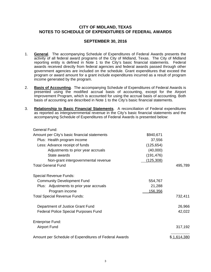# **CITY OF MIDLAND, TEXAS NOTES TO SCHEDULE OF EXPENDITURES OF FEDERAL AWARDS**

# **SEPTEMBER 30, 2016**

- 1. **General**. The accompanying Schedule of Expenditures of Federal Awards presents the activity of all federal award programs of the City of Midland, Texas. The City of Midland reporting entity is defined in Note 1 to the City's basic financial statements. Federal awards received directly from federal agencies and federal awards passed through other government agencies are included on the schedule. Grant expenditures that exceed the program or award amount for a grant include expenditures incurred as a result of program income generated by the program.
- 2. **Basis of Accounting**. The accompanying Schedule of Expenditures of Federal Awards is presented using the modified accrual basis of accounting, except for the Airport Improvement Program, which is accounted for using the accrual basis of accounting. Both basis of accounting are described in Note 1 to the City's basic financial statements.
- 3. **Relationship to Basic Financial Statements**. A reconciliation of Federal expenditures as reported as intergovernmental revenue in the City's basic financial statements and the accompanying Schedule of Expenditures of Federal Awards is presented below:

| General Fund:                                         |            |             |
|-------------------------------------------------------|------------|-------------|
| Amount per City's basic financial statements          | \$940,671  |             |
| Plus: Health program income                           | 37,556     |             |
| Less: Advance receipt of funds                        | (125, 654) |             |
| Adjustments to prior year accruals                    | (40,000)   |             |
| State awards                                          | (191, 476) |             |
| Non-grant intergovernmental revenue                   | (125,308)  |             |
| <b>Total General Fund</b>                             |            | 495,789     |
| <b>Special Revenue Funds:</b>                         |            |             |
| <b>Community Development Fund</b>                     | 554,767    |             |
| Plus: Adjustments to prior year accruals              | 21,288     |             |
| Program income                                        | 156,356    |             |
| <b>Total Special Revenue Funds:</b>                   |            | 732,411     |
| Department of Justice Grant Fund                      |            | 26,966      |
| <b>Federal Police Special Purposes Fund</b>           |            | 42,022      |
| <b>Enterprise Fund:</b>                               |            |             |
| <b>Airport Fund</b>                                   |            | 317,192     |
| Amount per Schedule of Expenditures of Federal Awards |            | \$1,614,380 |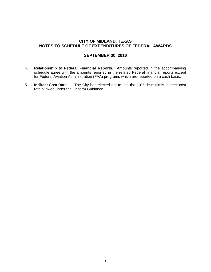# **CITY OF MIDLAND, TEXAS NOTES TO SCHEDULE OF EXPENDITURES OF FEDERAL AWARDS**

# **SEPTEMBER 30, 2016**

- 4. **Relationship to Federal Financial Reports**. Amounts reported in the accompanying schedule agree with the amounts reported in the related Federal financial reports except for Federal Aviation Administration (FAA) programs which are reported on a cash basis.
- 5. **Indirect Cost Rate**. The City has elected not to use the 10% de minimis indirect cost rate allowed under the Uniform Guidance.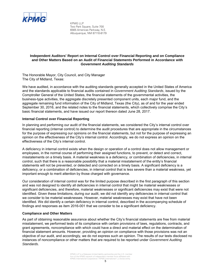

KPMG LLP Two Park Square, Suite 700 6565 Americas Parkway, N.E. Albuquerque, NM 87110-8179

#### **Independent Auditors' Report on Internal Control over Financial Reporting and on Compliance and Other Matters Based on an Audit of Financial Statements Performed in Accordance with**  *Government Auditing Standards*

The Honorable Mayor, City Council, and City Manager The City of Midland, Texas:

We have audited, in accordance with the auditing standards generally accepted in the United States of America and the standards applicable to financial audits contained in *Government Auditing Standards*, issued by the Comptroller General of the United States, the financial statements of the governmental activities, the business-type activities, the aggregate discretely presented component units, each major fund, and the aggregate remaining fund information of the City of Midland, Texas (the City), as of and for the year ended September 30, 2016, and the related notes to the financial statements, which collectively comprise the City's basic financial statements, and have issued our report thereon dated June 28, 2017.

#### **Internal Control over Financial Reporting**

In planning and performing our audit of the financial statements, we considered the City's internal control over financial reporting (internal control) to determine the audit procedures that are appropriate in the circumstances for the purpose of expressing our opinions on the financial statements, but not for the purpose of expressing an opinion on the effectiveness of the City's internal control. Accordingly, we do not express an opinion on the effectiveness of the City's internal control.

A deficiency in internal control exists when the design or operation of a control does not allow management or employees, in the normal course of performing their assigned functions, to prevent, or detect and correct, misstatements on a timely basis. A material weakness is a deficiency, or combination of deficiencies, in internal control, such that there is a reasonable possibility that a material misstatement of the entity's financial statements will not be prevented, or detected and corrected on a timely basis. A significant deficiency is a deficiency, or a combination of deficiencies, in internal control that is less severe than a material weakness, yet important enough to merit attention by those charged with governance.

Our consideration of internal control was for the limited purpose described in the first paragraph of this section and was not designed to identify all deficiencies in internal control that might be material weaknesses or significant deficiencies, and therefore, material weaknesses or significant deficiencies may exist that were not identified. Given these limitations, during our audit, we did not identify any deficiencies in internal control that we consider to be material weaknesses. However, material weaknesses may exist that have not been identified. We did identify a certain deficiency in internal control, described in the accompanying schedule of findings and responses as item 2016-001 that we consider to be a significant deficiency.

#### **Compliance and Other Matters**

As part of obtaining reasonable assurance about whether the City's financial statements are free from material misstatement, we performed tests of its compliance with certain provisions of laws, regulations, contracts, and grant agreements, noncompliance with which could have a direct and material effect on the determination of financial statement amounts. However, providing an opinion on compliance with those provisions was not an objective of our audit, and accordingly, we do not express such an opinion. The results of our tests disclosed no instances of noncompliance or other matters that are required to be reported under *Government Auditing Standards*.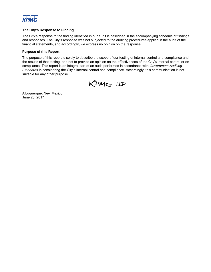

#### **The City's Response to Finding**

The City's response to the finding identified in our audit is described in the accompanying schedule of findings and responses. The City's response was not subjected to the auditing procedures applied in the audit of the financial statements, and accordingly, we express no opinion on the response.

#### **Purpose of this Report**

The purpose of this report is solely to describe the scope of our testing of internal control and compliance and the results of that testing, and not to provide an opinion on the effectiveness of the City's internal control or on compliance. This report is an integral part of an audit performed in accordance with *Government Auditing Standards* in considering the City's internal control and compliance. Accordingly, this communication is not suitable for any other purpose.



Albuquerque, New Mexico June 28, 2017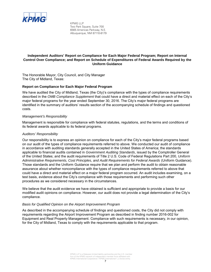

KPMG LLP Two Park Square, Suite 700 6565 Americas Parkway, N.E. Albuquerque, NM 87110-8179

#### **Independent Auditors' Report on Compliance for Each Major Federal Program; Report on Internal Control Over Compliance; and Report on Schedule of Expenditures of Federal Awards Required by the Uniform Guidance**

The Honorable Mayor, City Council, and City Manager The City of Midland, Texas:

#### **Report on Compliance for Each Major Federal Program**

We have audited the City of Midland, Texas (the City)'s compliance with the types of compliance requirements described in the *OMB Compliance Supplement* that could have a direct and material effect on each of the City's major federal programs for the year ended September 30, 2016. The City's major federal programs are identified in the summary of auditors' results section of the accompanying schedule of findings and questioned costs.

#### *Management's Responsibility*

Management is responsible for compliance with federal statutes, regulations, and the terms and conditions of its federal awards applicable to its federal programs.

#### *Auditors' Responsibility*

Our responsibility is to express an opinion on compliance for each of the City's major federal programs based on our audit of the types of compliance requirements referred to above. We conducted our audit of compliance in accordance with auditing standards generally accepted in the United States of America; the standards applicable to financial audits contained in *Government Auditing Standards*, issued by the Comptroller General of the United States; and the audit requirements of Title 2 U.S. Code of Federal Regulations Part 200, *Uniform Administrative Requirements, Cost Principles, and Audit Requirements for Federal Awards* (Uniform Guidance). Those standards and the Uniform Guidance require that we plan and perform the audit to obtain reasonable assurance about whether noncompliance with the types of compliance requirements referred to above that could have a direct and material effect on a major federal program occurred. An audit includes examining, on a test basis, evidence about the City's compliance with those requirements and performing such other procedures as we considered necessary in the circumstances.

We believe that the audit evidence we have obtained is sufficient and appropriate to provide a basis for our modified audit opinions on compliance. However, our audit does not provide a legal determination of the City's compliance.

#### *Basis for Qualified Opinion on the Airport Improvement Program*

As described in the accompanying schedule of findings and questioned costs, the City did not comply with requirements regarding the Airport Improvement Program as described in finding number 2016-002 for Equipment and Real Property Management. Compliance with such requirements is necessary, in our opinion, for the City of Midland, Texas to comply with the requirements applicable to that program.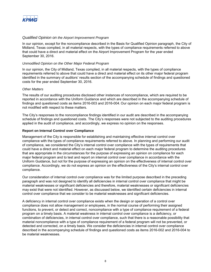

#### *Qualified Opinion on the Airport Improvement Program*

In our opinion, except for the noncompliance described in the Basis for Qualified Opinion paragraph, the City of Midland, Texas complied, in all material respects, with the types of compliance requirements referred to above that could have a direct and material effect on the Airport Improvement Program for the year ended September 30, 2016.

#### *Unmodified Opinion on the Other Major Federal Program*

In our opinion, the City of Midland, Texas complied, in all material respects, with the types of compliance requirements referred to above that could have a direct and material effect on its other major federal program identified in the summary of auditors' results section of the accompanying schedule of findings and questioned costs for the year ended September 30, 2016.

#### *Other Matters*

The results of our auditing procedures disclosed other instances of noncompliance, which are required to be reported in accordance with the Uniform Guidance and which are described in the accompanying schedule of findings and questioned costs as items 2016-003 and 2016-004. Our opinion on each major federal program is not modified with respect to these matters.

The City's responses to the noncompliance findings identified in our audit are described in the accompanying schedule of findings and questioned costs. The City's responses were not subjected to the auditing procedures applied in the audit of compliance, and accordingly, we express no opinion on the responses.

#### **Report on Internal Control over Compliance**

Management of the City is responsible for establishing and maintaining effective internal control over compliance with the types of compliance requirements referred to above. In planning and performing our audit of compliance, we considered the City's internal control over compliance with the types of requirements that could have a direct and material effect on each major federal program to determine the auditing procedures that are appropriate in the circumstances for the purpose of expressing an opinion on compliance for each major federal program and to test and report on internal control over compliance in accordance with the Uniform Guidance, but not for the purpose of expressing an opinion on the effectiveness of internal control over compliance. Accordingly, we do not express an opinion on the effectiveness of the City's internal control over compliance.

Our consideration of internal control over compliance was for the limited purpose described in the preceding paragraph and was not designed to identify all deficiencies in internal control over compliance that might be material weaknesses or significant deficiencies and therefore, material weaknesses or significant deficiencies may exist that were not identified. However, as discussed below, we identified certain deficiencies in internal control over compliance that we consider to be material weaknesses and significant deficiencies.

A deficiency in internal control over compliance exists when the design or operation of a control over compliance does not allow management or employees, in the normal course of performing their assigned functions, to prevent, or detect and correct, noncompliance with a type of compliance requirement of a federal program on a timely basis. A material weakness in internal control over compliance is a deficiency, or combination of deficiencies, in internal control over compliance, such that there is a reasonable possibility that material noncompliance with a type of compliance requirement of a federal program will not be prevented, or detected and corrected, on a timely basis. We consider the deficiencies in internal control over compliance described in the accompanying schedule of findings and questioned costs as items 2016-002 and 2016-004 to be material weaknesses.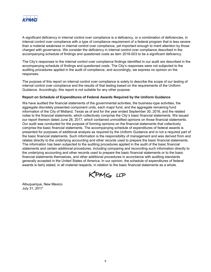

A significant deficiency in internal control over compliance is a deficiency, or a combination of deficiencies, in internal control over compliance with a type of compliance requirement of a federal program that is less severe than a material weakness in internal control over compliance, yet important enough to merit attention by those charged with governance. We consider the deficiency in internal control over compliance described in the accompanying schedule of findings and questioned costs as item 2016-003 to be a significant deficiency.

The City's responses to the internal control over compliance findings identified in our audit are described in the accompanying schedule of findings and questioned costs. The City's responses were not subjected to the auditing procedures applied in the audit of compliance, and accordingly, we express no opinion on the responses.

The purpose of this report on internal control over compliance is solely to describe the scope of our testing of internal control over compliance and the results of that testing based on the requirements of the Uniform Guidance. Accordingly, this report is not suitable for any other purpose.

#### **Report on Schedule of Expenditures of Federal Awards Required by the Uniform Guidance**

We have audited the financial statements of the governmental activities, the business-type activities, the aggregate discretely presented component units, each major fund, and the aggregate remaining fund information of the City of Midland, Texas as of and for the year ended September 30, 2016, and the related notes to the financial statements, which collectively comprise the City's basic financial statements. We issued our report thereon dated June 28, 2017, which contained unmodified opinions on those financial statements. Our audit was conducted for the purpose of forming opinions on the financial statements that collectively comprise the basic financial statements. The accompanying schedule of expenditures of federal awards is presented for purposes of additional analysis as required by the Uniform Guidance and is not a required part of the basic financial statements. Such information is the responsibility of management and was derived from and relates directly to the underlying accounting and other records used to prepare the basic financial statements. The information has been subjected to the auditing procedures applied in the audit of the basic financial statements and certain additional procedures, including comparing and reconciling such information directly to the underlying accounting and other records used to prepare the basic financial statements or to the basic financial statements themselves, and other additional procedures in accordance with auditing standards generally accepted in the United States of America. In our opinion, the schedule of expenditures of federal awards is fairly stated, in all material respects, in relation to the basic financial statements as a whole.



Albuquerque, New Mexico July 31, 2017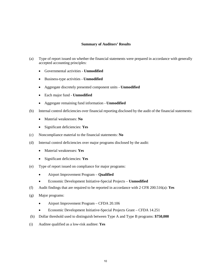#### **Summary of Auditors' Results**

- (a) Type of report issued on whether the financial statements were prepared in accordance with generally accepted accounting principles:
	- Governmental activities **Unmodified**
	- Business-type activities **Unmodified**
	- Aggregate discretely presented component units **Unmodified**
	- Each major fund **Unmodified**
	- Aggregate remaining fund information **Unmodified**
- (b) Internal control deficiencies over financial reporting disclosed by the audit of the financial statements:
	- Material weaknesses: **No**
	- Significant deficiencies: **Yes**
- (c) Noncompliance material to the financial statements: **No**
- (d) Internal control deficiencies over major programs disclosed by the audit:
	- Material weaknesses: **Yes**
	- Significant deficiencies: **Yes**
- (e) Type of report issued on compliance for major programs:
	- Airport Improvement Program **Qualified**
	- Economic Development Initiative-Special Projects **Unmodified**
- (f) Audit findings that are required to be reported in accordance with 2 CFR 200.516(a): **Yes**
- (g) Major programs:
	- Airport Improvement Program CFDA 20.106
	- Economic Development Initiative-Special Projects Grant CFDA 14.251
- (h) Dollar threshold used to distinguish between Type A and Type B programs: **\$750,000**
- (i) Auditee qualified as a low-risk auditee: **Yes**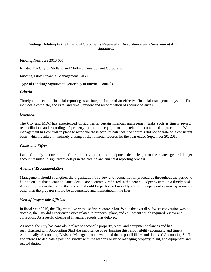### **Findings Relating to the Financial Statements Reported in Accordance with** *Government Auditing Standards*

**Finding Number:** 2016-001

**Entity:** The City of Midland and Midland Development Corporation

**Finding Title:** Financial Management Tasks

**Type of Finding:** Significant Deficiency in Internal Controls

#### *Criteria*

Timely and accurate financial reporting is an integral factor of an effective financial management system. This includes a complete, accurate, and timely review and reconciliation of account balances.

#### *Condition*

The City and MDC has experienced difficulties in certain financial management tasks such as timely review, reconciliation, and recording of property, plant, and equipment and related accumulated depreciation. While management has controls in place to reconcile these account balances, the controls did not operate on a consistent basis, which resulted in untimely closing of the financial records for the year ended September 30, 2016.

#### *Cause and Effect*

Lack of timely reconciliation of the property, plant, and equipment detail ledger to the related general ledger account resulted in significant delays in the closing and financial reporting process.

#### *Auditors' Recommendation*

Management should strengthen the organization's review and reconciliation procedures throughout the period to help to ensure that account balance details are accurately reflected in the general ledger system on a timely basis. A monthly reconciliation of this account should be performed monthly and an independent review by someone other than the preparer should be documented and maintained in the files.

#### *View of Responsible Officials*

In fiscal year 2016, the City went live with a software conversion. While the overall software conversion was a success, the City did experience issues related to property, plant, and equipment which required review and correction. As a result, closing of financial records was delayed.

As noted, the City has controls in place to reconcile property, plant, and equipment balances and has reemphasized with Accounting Staff the importance of performing this responsibility accurately and timely. Additionally, Accounting Division Management re-evaluated the responsibilities and duties of Accounting Staff and intends to dedicate a position strictly with the responsibility of managing property, plant, and equipment and related duties.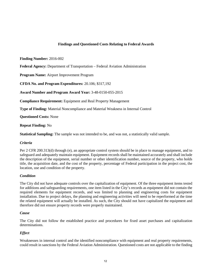#### **Findings and Questioned Costs Relating to Federal Awards**

**Finding Number:** 2016**-**002

**Federal Agency:** Department of Transportation – Federal Aviation Administration

**Program Name:** Airport Improvement Program

**CFDA No. and Program Expenditures:** 20.106; \$317,192

**Award Number and Program Award Year:** 3-48-0150-055-2015

**Compliance Requirement:** Equipment and Real Property Management

**Type of Finding:** Material Noncompliance and Material Weakness in Internal Control

**Questioned Costs:** None

**Repeat Finding:** No

**Statistical Sampling:** The sample was not intended to be, and was not, a statistically valid sample.

#### *Criteria*

Per 2 CFR 200.313(d) through (e), an appropriate control system should be in place to manage equipment, and to safeguard and adequately maintain equipment. Equipment records shall be maintained accurately and shall include the description of the equipment, serial number or other identification number, source of the property, who holds title, the acquisition date, and the cost of the property, percentage of Federal participation in the project cost, the location, use and condition of the property.

#### *Condition*

The City did not have adequate controls over the capitalization of equipment. Of the three equipment items tested for additions and safeguarding requirements, one item listed in the City's records as equipment did not contain the required elements for equipment records, and was limited to planning and engineering costs for equipment installation. Due to project delays, the planning and engineering activities will need to be reperformed at the time the related equipment will actually be installed. As such, the City should not have capitalized the equipment and therefore did not ensure property records were properly maintained.

#### *Cause*

The City did not follow the established practice and procedures for fixed asset purchases and capitalization determinations.

# *Effect*

Weaknesses in internal control and the identified noncompliance with equipment and real property requirements, could result in sanctions by the Federal Aviation Administration. Questioned costs are not applicable to the finding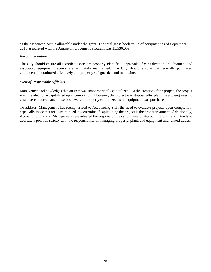as the associated cost is allowable under the grant. The total gross book value of equipment as of September 30, 2016 associated with the Airport Improvement Program was \$5,536,059.

#### *Recommendation*

The City should ensure all recorded assets are properly identified, approvals of capitalization are obtained, and associated equipment records are accurately maintained. The City should ensure that federally purchased equipment is monitored effectively and properly safeguarded and maintained.

#### *View of Responsible Officials*

Management acknowledges that an item was inappropriately capitalized. At the creation of the project, the project was intended to be capitalized upon completion. However, the project was stopped after planning and engineering costs were incurred and those costs were improperly capitalized as no equipment was purchased.

To address, Management has reemphasized to Accounting Staff the need to evaluate projects upon completion, especially those that are discontinued, to determine if capitalizing the project is the proper treatment. Additionally, Accounting Division Management re-evaluated the responsibilities and duties of Accounting Staff and intends to dedicate a position strictly with the responsibility of managing property, plant, and equipment and related duties.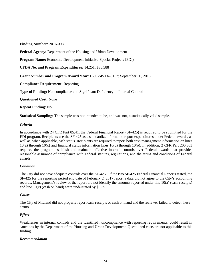#### **Finding Number:** 2016-003

**Federal Agency:** Department of the Housing and Urban Development

**Program Name:** Economic Development Initiative-Special Projects (EDI)

**CFDA No. and Program Expenditures:** 14.251; \$35,588

**Grant Number and Program Award Year:** B-09-SP-TX-0152; September 30, 2016

**Compliance Requirement:** Reporting

**Type of Finding:** Noncompliance and Significant Deficiency in Internal Control

**Questioned Cost:** None

**Repeat Finding:** No

**Statistical Sampling:** The sample was not intended to be, and was not, a statistically valid sample.

#### *Criteria*

In accordance with 24 CFR Part 85.41, the Federal Financial Report (SF-425) is required to be submitted for the EDI program. Recipients use the SF-425 as a standardized format to report expenditures under Federal awards, as well as, when applicable, cash status. Recipients are required to report both cash management information on lines 10(a) through 10(c) and financial status information lines 10(d) through 10(o). In addition, 2 CFR Part 200.303 requires the program establish and maintain effective internal controls over Federal awards that provides reasonable assurance of compliance with Federal statutes, regulations, and the terms and conditions of Federal awards.

# *Condition*

The City did not have adequate controls over the SF-425. Of the two SF-425 Federal Financial Reports tested, the SF-425 for the reporting period end date of February 2, 2017 report's data did not agree to the City's accounting records. Management's review of the report did not identify the amounts reported under line 10(a) (cash receipts) and line 10(c) (cash on hand) were understated by \$6,351.

#### *Cause*

The City of Midland did not properly report cash receipts or cash on hand and the reviewer failed to detect these errors.

# *Effect*

Weaknesses in internal controls and the identified noncompliance with reporting requirements, could result in sanctions by the Department of the Housing and Urban Development. Questioned costs are not applicable to this finding.

#### *Recommendation*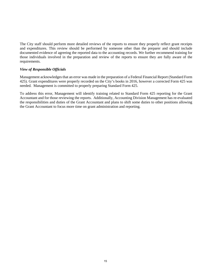The City staff should perform more detailed reviews of the reports to ensure they properly reflect grant receipts and expenditures. This review should be performed by someone other than the preparer and should include documented evidence of agreeing the reported data to the accounting records. We further recommend training for those individuals involved in the preparation and review of the reports to ensure they are fully aware of the requirements.

#### *View of Responsible Officials*

Management acknowledges that an error was made in the preparation of a Federal Financial Report (Standard Form 425). Grant expenditures were properly recorded on the City's books in 2016, however a corrected Form 425 was needed. Management is committed to properly preparing Standard Form 425.

To address this error, Management will identify training related to Standard Form 425 reporting for the Grant Accountant and for those reviewing the reports. Additionally, Accounting Division Management has re-evaluated the responsibilities and duties of the Grant Accountant and plans to shift some duties to other positions allowing the Grant Accountant to focus more time on grant administration and reporting.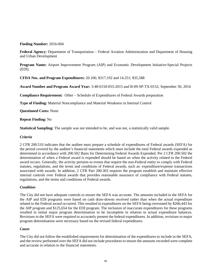#### **Finding Number:** 2016**-**004

**Federal Agency:** Department of Transportation – Federal Aviation Administration and Department of Housing and Urban Development

**Program Name:** Airport Improvement Program (AIP) and Economic Development Initiative-Special Projects (EDI)

**CFDA Nos. and Program Expenditures:** 20.106; \$317,192 and 14.251; \$35,588

**Award Number and Program Award Year:** 3-48-0150-055-2015 and B-09-SP-TX-0152; September 30, 2016

**Compliance Requirement:** Other – Schedule of Expenditures of Federal Awards preparation

**Type of Finding:** Material Noncompliance and Material Weakness in Internal Control

**Questioned Costs:** None

### **Repeat Finding:** No

**Statistical Sampling:** The sample was not intended to be, and was not, a statistically valid sample.

#### *Criteria*

2 CFR 200.510 indicates that the auditee must prepare a schedule of expenditures of Federal awards (SEFA) for the period covered by the auditee's financial statements which must include the total Federal awards expended as determined in accordance with 200.502 Basis for Determining Federal Awards Expended. Per 2 CFR 200.502 the determination of when a Federal award is expended should be based on when the activity related to the Federal award occurs. Generally, the activity pertains to events that require the non-Federal entity to comply with Federal statutes, regulations, and the terms and conditions of Federal awards, such as: expenditure/expense transactions associated with awards. In addition, 2 CFR Part 200.303 requires the program establish and maintain effective internal controls over Federal awards that provides reasonable assurance of compliance with Federal statutes, regulations, and the terms and conditions of Federal awards.

# *Condition*

The City did not have adequate controls to ensure the SEFA was accurate. The amounts included in the SEFA for the AIP and EDI programs were based on cash draw-downs received rather than when the actual expenditure related to the Federal award occurred. This resulted in expenditures on the SEFA being overstated by \$266,443 for the AIP program and \$125,654 for the EDI program. The inclusion of inaccurate expenditures for these programs resulted in initial major program determination to be incomplete in relation to actual expenditure balances. Revisions to the SEFA were required to accurately present the federal expenditures. In addition, revisions to major program determination were necessary based on the revised federal expenditures.

#### *Cause*

The City did not follow the established requirements for determination of the expenditures to include in the SEFA, and the review performed over the SEFA did not include procedures to ensure the amounts recorded were complete and accurate in relation to the financial statements.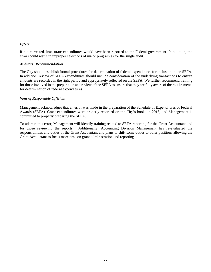### *Effect*

If not corrected, inaccurate expenditures would have been reported to the Federal government. In addition, the errors could result in improper selections of major program(s) for the single audit.

#### *Auditors' Recommendation*

The City should establish formal procedures for determination of federal expenditures for inclusion in the SEFA. In addition, review of SEFA expenditures should include consideration of the underlying transactions to ensure amounts are recorded in the right period and appropriately reflected on the SEFA. We further recommend training for those involved in the preparation and review of the SEFA to ensure that they are fully aware of the requirements for determination of federal expenditures.

#### *View of Responsible Officials*

Management acknowledges that an error was made in the preparation of the Schedule of Expenditures of Federal Awards (SEFA). Grant expenditures were properly recorded on the City's books in 2016, and Management is committed to properly preparing the SEFA.

To address this error, Management will identify training related to SEFA reporting for the Grant Accountant and for those reviewing the reports. Additionally, Accounting Division Management has re-evaluated the responsibilities and duties of the Grant Accountant and plans to shift some duties to other positions allowing the Grant Accountant to focus more time on grant administration and reporting.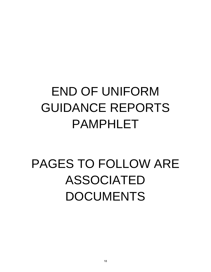# END OF UNIFORM GUIDANCE REPORTS PAMPHLET

# PAGES TO FOLLOW ARE ASSOCIATED DOCUMENTS